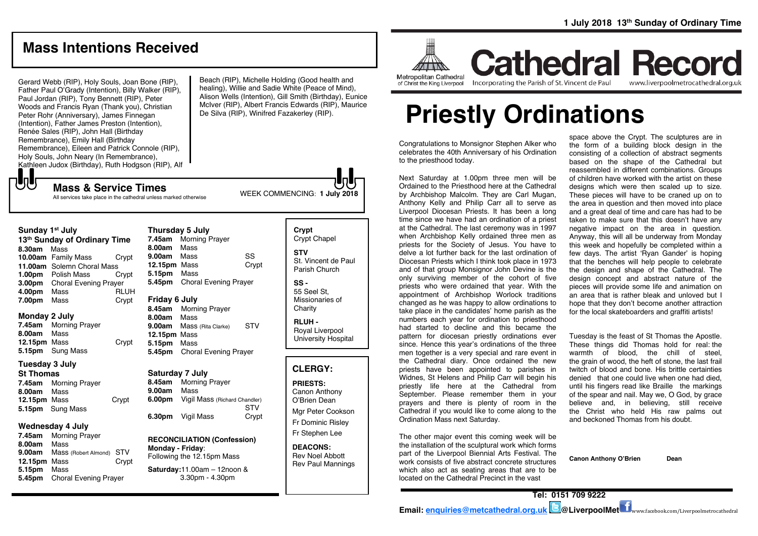# **Mass Intentions Received**

Gerard Webb (RIP), Holy Souls, Joan Bone (RIP), Father Paul O'Grady (Intention), Billy Walker (RIP), Paul Jordan (RIP), Tony Bennett (RIP), Peter Woods and Francis Ryan (Thank you), Christian Peter Rohr (Anniversary), James Finnegan (Intention), Father James Preston (Intention), Renée Sales (RIP), John Hall (Birthday Remembrance), Emily Hall (Birthday Remembrance), Eileen and Patrick Connole (RIP), Holy Souls, John Neary (In Remembrance), Kathleen Judox (Birthday), Ruth Hodgson (RIP), Alf

**Sunday 1st July** 

**8.30am** Mass

もし

**Monday 2 July**

**8.00am** Mass

**Tuesday 3 July St Thomas**

**7.45am** Morning Prayer **8.00am** Mass

**5.15pm** Sung Mass **Wednesday 4 July 7.45am** Morning Prayer **8.00am** Mass

**5.15pm** Mass

**12.15pm** Mass Crypt

**9.00am** Mass (Robert Almond) STV **12.15pm** Mass Crypt

**5.45pm** Choral Evening Prayer

Beach (RIP), Michelle Holding (Good health and healing), Willie and Sadie White (Peace of Mind), Alison Wells (Intention), Gill Smith (Birthday), Eunice McIver (RIP), Albert Francis Edwards (RIP), Maurice De Silva (RIP), Winifred Fazakerley (RIP).



Metropolitan Cathedral of Christ the King Liverpool **Cathedral Record** Incorporating the Parish of St. Vincent de Paul

www.liverpoolmetrocathedral.org.uk

# **Priestly Ordinations**

Congratulations to Monsignor Stephen Alker who celebrates the 40th Anniversary of his Ordination to the priesthood today.

Next Saturday at 1.00pm three men will be Ordained to the Priesthood here at the Cathedral by Archbishop Malcolm. They are Carl Mugan, Anthony Kelly and Philip Carr all to serve as Liverpool Diocesan Priests. It has been a long time since we have had an ordination of a priest at the Cathedral. The last ceremony was in 1997 when Archbishop Kelly ordained three men as priests for the Society of Jesus. You have to delve a lot further back for the last ordination of Diocesan Priests which I think took place in 1973 and of that group Monsignor John Devine is the only surviving member of the cohort of five priests who were ordained that year. With the appointment of Archbishop Worlock traditions changed as he was happy to allow ordinations to take place in the candidates' home parish as the numbers each year for ordination to priesthood had started to decline and this became the pattern for diocesan priestly ordinations ever since. Hence this year's ordinations of the three men together is a very special and rare event in the Cathedral diary. Once ordained the new priests have been appointed to parishes in Widnes, St Helens and Philip Carr will begin his priestly life here at the Cathedral from September. Please remember them in your prayers and there is plenty of room in the Cathedral if you would like to come along to the Ordination Mass next Saturday.

The other major event this coming week will be the installation of the sculptural work which forms part of the Liverpool Biennial Arts Festival. The work consists of five abstract concrete structures which also act as seating areas that are to be located on the Cathedral Precinct in the vast

space above the Crypt. The sculptures are in the form of a building block design in the consisting of a collection of abstract segments based on the shape of the Cathedral but reassembled in different combinations. Groups of children have worked with the artist on these designs which were then scaled up to size. These pieces will have to be craned up on to the area in question and then moved into place and a great deal of time and care has had to be taken to make sure that this doesn't have any negative impact on the area in question. Anyway, this will all be underway from Monday this week and hopefully be completed within a few days. The artist 'Ryan Gander' is hoping that the benches will help people to celebrate the design and shape of the Cathedral. The design concept and abstract nature of the pieces will provide some life and animation on an area that is rather bleak and unloved but I hope that they don't become another attraction for the local skateboarders and graffiti artists!

Tuesday is the feast of St Thomas the Apostle. These things did Thomas hold for real: the warmth of blood, the chill of steel, the grain of wood, the heft of stone, the last frail twitch of blood and bone. His brittle certainties denied that one could live when one had died, until his fingers read like Braille the markings of the spear and nail. May we, O God, by grace believe and, in believing, still receive the Christ who held His raw palms out and beckoned Thomas from his doubt.

**Canon Anthony O'Brien Dean**

**13th Sunday of Ordinary Time 10.00am** Family Mass Crypt **11.00am** Solemn Choral Mass<br>**1.00pm** Polish Mass Crvpt **1.00pm** Polish Mass **3.00pm** Choral Evening Prayer **4.00pm** Mass RLUH **7.00pm** Mass Crypt **7.45am** Morning Prayer **12.15pm** Mass Crypt **5.15pm** Sung Mass **7.45am** Morning Prayer **8.00am** Mass **9.00am** Mass SS **12.15pm** Mass Crypt **5.15pm** Mass **5.45pm** Choral Evening Prayer **Friday 6 July 8.45am** Morning Prayer **8.00am** Mass **9.00am** Mass (Rita Clarke) STV **12.15pm** Mass **5.15pm** Mass **5.45pm** Choral Evening Prayer

All services take place in the cathedral unless marked otherwise

#### **Saturday 7 July**

**8.45am** Morning Prayer **9.00am** Mass **6.00pm** Vigil Mass (Richard Chandler) STV **6.30pm** Vigil Mass Crypt

WEEK COMMENCING: **1 July <sup>2018</sup> Mass & Service Times**

**Thursday 5 July**

**RECONCILIATION (Confession) Monday - Friday**: Following the 12.15pm Mass

**Saturday:**11.00am – 12noon & 3.30pm - 4.30pm

**Crypt**  Crypt Chapel **STV** St. Vincent de Paul Parish Church **SS -**

> 55 Seel St, Missionaries of **Charity**

**RLUH -** Royal Liverpool University Hospital

#### **CLERGY:**

**PRIESTS:** Canon Anthony O'Brien Dean

Mgr Peter Cookson Fr Dominic Risley Fr Stephen Lee

**DEACONS:** Rev Noel Abbott Rev Paul Mannings

**Email: [enquiries@metcathedral.org.uk](mailto:enquiries@metcathedral.org.uk) @LiverpoolMet** www.facebook.com/Liverpoolmetrocathedral

**Tel: 0151 709 9222**